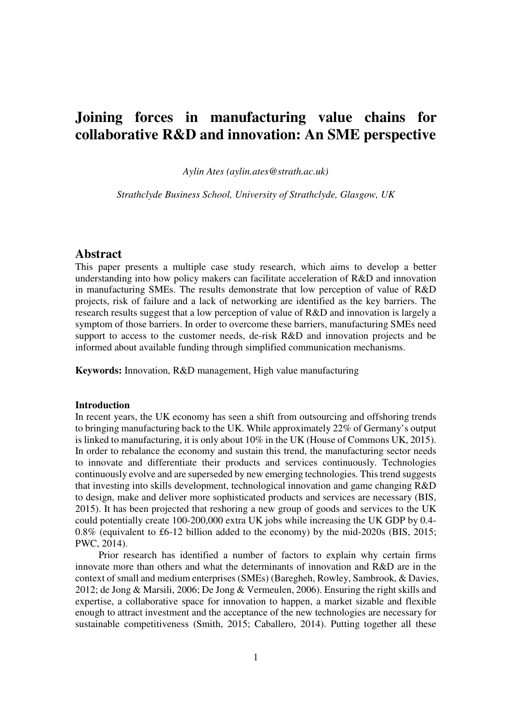# **Joining forces in manufacturing value chains for collaborative R&D and innovation: An SME perspective**

*Aylin Ates (aylin.ates@strath.ac.uk)* 

*Strathclyde Business School, University of Strathclyde, Glasgow, UK* 

# **Abstract**

This paper presents a multiple case study research, which aims to develop a better understanding into how policy makers can facilitate acceleration of R&D and innovation in manufacturing SMEs. The results demonstrate that low perception of value of R&D projects, risk of failure and a lack of networking are identified as the key barriers. The research results suggest that a low perception of value of R&D and innovation is largely a symptom of those barriers. In order to overcome these barriers, manufacturing SMEs need support to access to the customer needs, de-risk R&D and innovation projects and be informed about available funding through simplified communication mechanisms.

**Keywords:** Innovation, R&D management, High value manufacturing

## **Introduction**

In recent years, the UK economy has seen a shift from outsourcing and offshoring trends to bringing manufacturing back to the UK. While approximately 22% of Germany's output is linked to manufacturing, it is only about 10% in the UK (House of Commons UK, 2015). In order to rebalance the economy and sustain this trend, the manufacturing sector needs to innovate and differentiate their products and services continuously. Technologies continuously evolve and are superseded by new emerging technologies. This trend suggests that investing into skills development, technological innovation and game changing R&D to design, make and deliver more sophisticated products and services are necessary (BIS, 2015). It has been projected that reshoring a new group of goods and services to the UK could potentially create 100-200,000 extra UK jobs while increasing the UK GDP by 0.4- 0.8% (equivalent to £6-12 billion added to the economy) by the mid-2020s (BIS, 2015; PWC, 2014).

 Prior research has identified a number of factors to explain why certain firms innovate more than others and what the determinants of innovation and R&D are in the context of small and medium enterprises (SMEs) (Baregheh, Rowley, Sambrook, & Davies, 2012; de Jong & Marsili, 2006; De Jong & Vermeulen, 2006). Ensuring the right skills and expertise, a collaborative space for innovation to happen, a market sizable and flexible enough to attract investment and the acceptance of the new technologies are necessary for sustainable competitiveness (Smith, 2015; Caballero, 2014). Putting together all these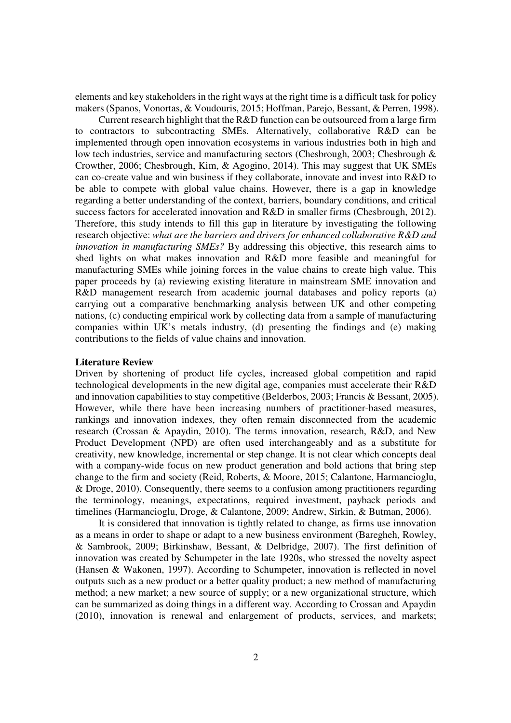elements and key stakeholders in the right ways at the right time is a difficult task for policy makers (Spanos, Vonortas, & Voudouris, 2015; Hoffman, Parejo, Bessant, & Perren, 1998).

 Current research highlight that the R&D function can be outsourced from a large firm to contractors to subcontracting SMEs. Alternatively, collaborative R&D can be implemented through open innovation ecosystems in various industries both in high and low tech industries, service and manufacturing sectors (Chesbrough, 2003; Chesbrough & Crowther, 2006; Chesbrough, Kim, & Agogino, 2014). This may suggest that UK SMEs can co-create value and win business if they collaborate, innovate and invest into R&D to be able to compete with global value chains. However, there is a gap in knowledge regarding a better understanding of the context, barriers, boundary conditions, and critical success factors for accelerated innovation and R&D in smaller firms (Chesbrough, 2012). Therefore, this study intends to fill this gap in literature by investigating the following research objective: *what are the barriers and drivers for enhanced collaborative R&D and innovation in manufacturing SMEs?* By addressing this objective, this research aims to shed lights on what makes innovation and R&D more feasible and meaningful for manufacturing SMEs while joining forces in the value chains to create high value. This paper proceeds by (a) reviewing existing literature in mainstream SME innovation and R&D management research from academic journal databases and policy reports (a) carrying out a comparative benchmarking analysis between UK and other competing nations, (c) conducting empirical work by collecting data from a sample of manufacturing companies within UK's metals industry, (d) presenting the findings and (e) making contributions to the fields of value chains and innovation.

# **Literature Review**

Driven by shortening of product life cycles, increased global competition and rapid technological developments in the new digital age, companies must accelerate their R&D and innovation capabilities to stay competitive (Belderbos, 2003; Francis & Bessant, 2005). However, while there have been increasing numbers of practitioner-based measures, rankings and innovation indexes, they often remain disconnected from the academic research (Crossan & Apaydin, 2010). The terms innovation, research, R&D, and New Product Development (NPD) are often used interchangeably and as a substitute for creativity, new knowledge, incremental or step change. It is not clear which concepts deal with a company-wide focus on new product generation and bold actions that bring step change to the firm and society (Reid, Roberts, & Moore, 2015; Calantone, Harmancioglu, & Droge, 2010). Consequently, there seems to a confusion among practitioners regarding the terminology, meanings, expectations, required investment, payback periods and timelines (Harmancioglu, Droge, & Calantone, 2009; Andrew, Sirkin, & Butman, 2006).

 It is considered that innovation is tightly related to change, as firms use innovation as a means in order to shape or adapt to a new business environment (Baregheh, Rowley, & Sambrook, 2009; Birkinshaw, Bessant, & Delbridge, 2007). The first definition of innovation was created by Schumpeter in the late 1920s, who stressed the novelty aspect (Hansen & Wakonen, 1997). According to Schumpeter, innovation is reflected in novel outputs such as a new product or a better quality product; a new method of manufacturing method; a new market; a new source of supply; or a new organizational structure, which can be summarized as doing things in a different way. According to Crossan and Apaydin (2010), innovation is renewal and enlargement of products, services, and markets;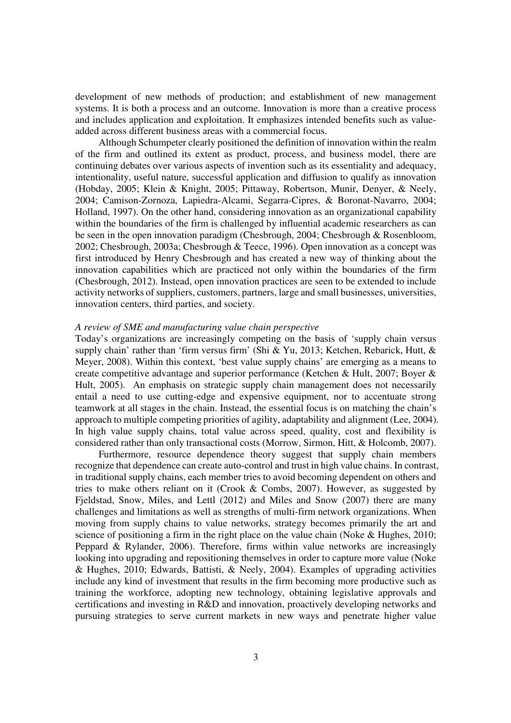development of new methods of production; and establishment of new management systems. It is both a process and an outcome. Innovation is more than a creative process and includes application and exploitation. It emphasizes intended benefits such as valueadded across different business areas with a commercial focus.

 Although Schumpeter clearly positioned the definition of innovation within the realm of the firm and outlined its extent as product, process, and business model, there are continuing debates over various aspects of invention such as its essentiality and adequacy, intentionality, useful nature, successful application and diffusion to qualify as innovation (Hobday, 2005; Klein & Knight, 2005; Pittaway, Robertson, Munir, Denyer, & Neely, 2004; Camison-Zornoza, Lapiedra-Alcami, Segarra-Cipres, & Boronat-Navarro, 2004; Holland, 1997). On the other hand, considering innovation as an organizational capability within the boundaries of the firm is challenged by influential academic researchers as can be seen in the open innovation paradigm (Chesbrough, 2004; Chesbrough & Rosenbloom, 2002; Chesbrough, 2003a; Chesbrough & Teece, 1996). Open innovation as a concept was first introduced by Henry Chesbrough and has created a new way of thinking about the innovation capabilities which are practiced not only within the boundaries of the firm (Chesbrough, 2012). Instead, open innovation practices are seen to be extended to include activity networks of suppliers, customers, partners, large and small businesses, universities, innovation centers, third parties, and society.

### *A review of SME and manufacturing value chain perspective*

Today's organizations are increasingly competing on the basis of 'supply chain versus supply chain' rather than 'firm versus firm' (Shi & Yu, 2013; Ketchen, Rebarick, Hutt, & Meyer, 2008). Within this context, 'best value supply chains' are emerging as a means to create competitive advantage and superior performance (Ketchen & Hult, 2007; Boyer & Hult, 2005). An emphasis on strategic supply chain management does not necessarily entail a need to use cutting-edge and expensive equipment, nor to accentuate strong teamwork at all stages in the chain. Instead, the essential focus is on matching the chain's approach to multiple competing priorities of agility, adaptability and alignment (Lee, 2004). In high value supply chains, total value across speed, quality, cost and flexibility is considered rather than only transactional costs (Morrow, Sirmon, Hitt, & Holcomb, 2007).

 Furthermore, resource dependence theory suggest that supply chain members recognize that dependence can create auto-control and trust in high value chains. In contrast, in traditional supply chains, each member tries to avoid becoming dependent on others and tries to make others reliant on it (Crook  $&$  Combs, 2007). However, as suggested by Fjeldstad, Snow, Miles, and Lettl (2012) and Miles and Snow (2007) there are many challenges and limitations as well as strengths of multi-firm network organizations. When moving from supply chains to value networks, strategy becomes primarily the art and science of positioning a firm in the right place on the value chain (Noke  $\&$  Hughes, 2010; Peppard & Rylander, 2006). Therefore, firms within value networks are increasingly looking into upgrading and repositioning themselves in order to capture more value (Noke & Hughes, 2010; Edwards, Battisti, & Neely, 2004). Examples of upgrading activities include any kind of investment that results in the firm becoming more productive such as training the workforce, adopting new technology, obtaining legislative approvals and certifications and investing in R&D and innovation, proactively developing networks and pursuing strategies to serve current markets in new ways and penetrate higher value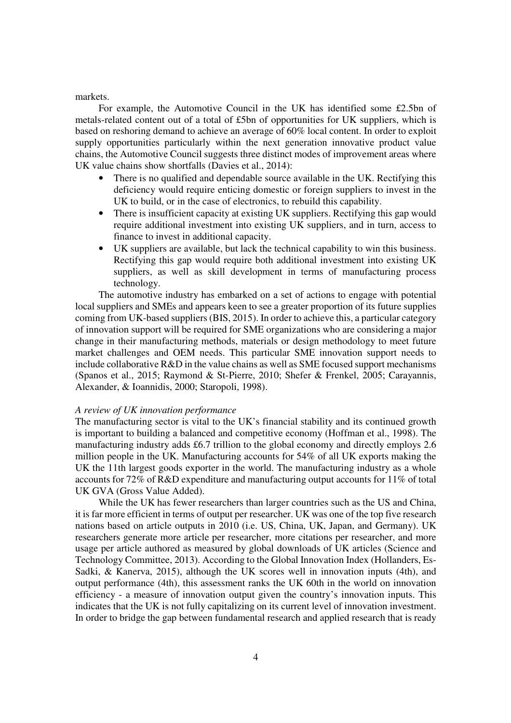## markets.

 For example, the Automotive Council in the UK has identified some £2.5bn of metals-related content out of a total of £5bn of opportunities for UK suppliers, which is based on reshoring demand to achieve an average of 60% local content. In order to exploit supply opportunities particularly within the next generation innovative product value chains, the Automotive Council suggests three distinct modes of improvement areas where UK value chains show shortfalls (Davies et al., 2014):

- There is no qualified and dependable source available in the UK. Rectifying this deficiency would require enticing domestic or foreign suppliers to invest in the UK to build, or in the case of electronics, to rebuild this capability.
- There is insufficient capacity at existing UK suppliers. Rectifying this gap would require additional investment into existing UK suppliers, and in turn, access to finance to invest in additional capacity.
- UK suppliers are available, but lack the technical capability to win this business. Rectifying this gap would require both additional investment into existing UK suppliers, as well as skill development in terms of manufacturing process technology.

 The automotive industry has embarked on a set of actions to engage with potential local suppliers and SMEs and appears keen to see a greater proportion of its future supplies coming from UK-based suppliers (BIS, 2015). In order to achieve this, a particular category of innovation support will be required for SME organizations who are considering a major change in their manufacturing methods, materials or design methodology to meet future market challenges and OEM needs. This particular SME innovation support needs to include collaborative R&D in the value chains as well as SME focused support mechanisms (Spanos et al., 2015; Raymond & St-Pierre, 2010; Shefer & Frenkel, 2005; Carayannis, Alexander, & Ioannidis, 2000; Staropoli, 1998).

## *A review of UK innovation performance*

The manufacturing sector is vital to the UK's financial stability and its continued growth is important to building a balanced and competitive economy (Hoffman et al., 1998). The manufacturing industry adds £6.7 trillion to the global economy and directly employs 2.6 million people in the UK. Manufacturing accounts for 54% of all UK exports making the UK the 11th largest goods exporter in the world. The manufacturing industry as a whole accounts for 72% of R&D expenditure and manufacturing output accounts for 11% of total UK GVA (Gross Value Added).

 While the UK has fewer researchers than larger countries such as the US and China, it is far more efficient in terms of output per researcher. UK was one of the top five research nations based on article outputs in 2010 (i.e. US, China, UK, Japan, and Germany). UK researchers generate more article per researcher, more citations per researcher, and more usage per article authored as measured by global downloads of UK articles (Science and Technology Committee, 2013). According to the Global Innovation Index (Hollanders, Es-Sadki, & Kanerva, 2015), although the UK scores well in innovation inputs (4th), and output performance (4th), this assessment ranks the UK 60th in the world on innovation efficiency - a measure of innovation output given the country's innovation inputs. This indicates that the UK is not fully capitalizing on its current level of innovation investment. In order to bridge the gap between fundamental research and applied research that is ready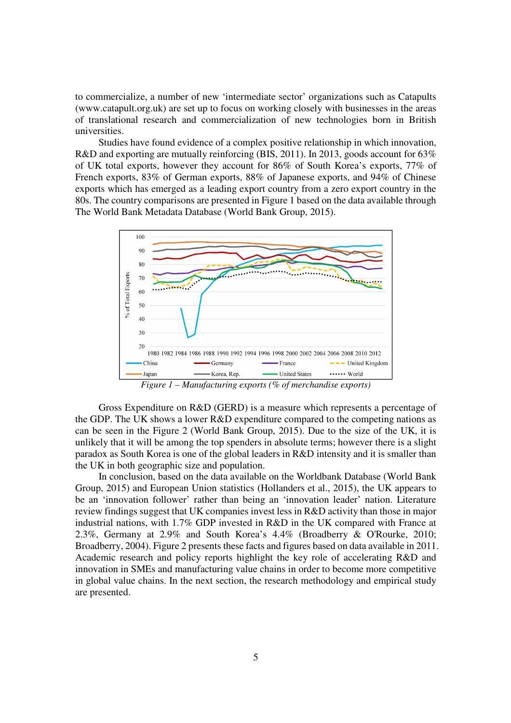to commercialize, a number of new 'intermediate sector' organizations such as Catapults (www.catapult.org.uk) are set up to focus on working closely with businesses in the areas of translational research and commercialization of new technologies born in British universities.

 Studies have found evidence of a complex positive relationship in which innovation, R&D and exporting are mutually reinforcing (BIS, 2011). In 2013, goods account for 63% of UK total exports, however they account for 86% of South Korea's exports, 77% of French exports, 83% of German exports, 88% of Japanese exports, and 94% of Chinese exports which has emerged as a leading export country from a zero export country in the 80s. The country comparisons are presented in Figure 1 based on the data available through The World Bank Metadata Database (World Bank Group, 2015).



*Figure 1 – Manufacturing exports (% of merchandise exports)*

 Gross Expenditure on R&D (GERD) is a measure which represents a percentage of the GDP. The UK shows a lower R&D expenditure compared to the competing nations as can be seen in the Figure 2 (World Bank Group, 2015). Due to the size of the UK, it is unlikely that it will be among the top spenders in absolute terms; however there is a slight paradox as South Korea is one of the global leaders in R&D intensity and it is smaller than the UK in both geographic size and population.

 In conclusion, based on the data available on the Worldbank Database (World Bank Group, 2015) and European Union statistics (Hollanders et al., 2015), the UK appears to be an 'innovation follower' rather than being an 'innovation leader' nation. Literature review findings suggest that UK companies invest less in R&D activity than those in major industrial nations, with 1.7% GDP invested in R&D in the UK compared with France at 2.3%, Germany at 2.9% and South Korea's 4.4% (Broadberry & O'Rourke, 2010; Broadberry, 2004). Figure 2 presents these facts and figures based on data available in 2011. Academic research and policy reports highlight the key role of accelerating R&D and innovation in SMEs and manufacturing value chains in order to become more competitive in global value chains. In the next section, the research methodology and empirical study are presented.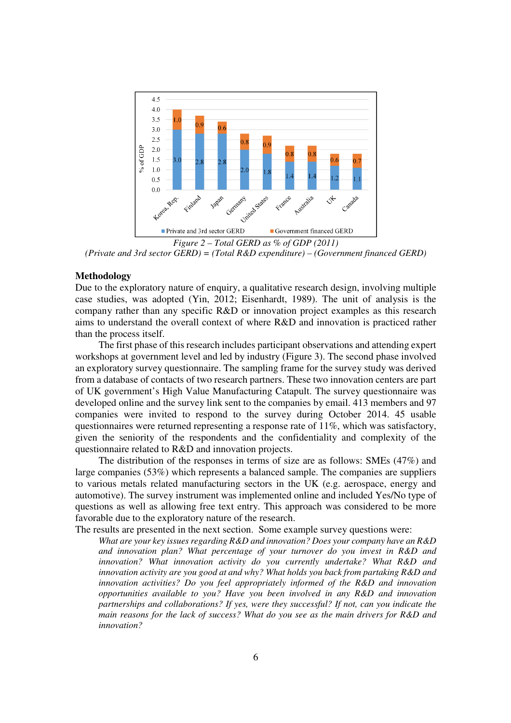

*Figure 2 – Total GERD as % of GDP (2011) (Private and 3rd sector GERD) = (Total R&D expenditure) – (Government financed GERD)*

# **Methodology**

Due to the exploratory nature of enquiry, a qualitative research design, involving multiple case studies, was adopted (Yin, 2012; Eisenhardt, 1989). The unit of analysis is the company rather than any specific R&D or innovation project examples as this research aims to understand the overall context of where R&D and innovation is practiced rather than the process itself.

 The first phase of this research includes participant observations and attending expert workshops at government level and led by industry (Figure 3). The second phase involved an exploratory survey questionnaire. The sampling frame for the survey study was derived from a database of contacts of two research partners. These two innovation centers are part of UK government's High Value Manufacturing Catapult. The survey questionnaire was developed online and the survey link sent to the companies by email. 413 members and 97 companies were invited to respond to the survey during October 2014. 45 usable questionnaires were returned representing a response rate of 11%, which was satisfactory, given the seniority of the respondents and the confidentiality and complexity of the questionnaire related to R&D and innovation projects.

 The distribution of the responses in terms of size are as follows: SMEs (47%) and large companies (53%) which represents a balanced sample. The companies are suppliers to various metals related manufacturing sectors in the UK (e.g. aerospace, energy and automotive). The survey instrument was implemented online and included Yes/No type of questions as well as allowing free text entry. This approach was considered to be more favorable due to the exploratory nature of the research.

The results are presented in the next section. Some example survey questions were:

*What are your key issues regarding R&D and innovation? Does your company have an R&D and innovation plan? What percentage of your turnover do you invest in R&D and innovation? What innovation activity do you currently undertake? What R&D and innovation activity are you good at and why? What holds you back from partaking R&D and innovation activities? Do you feel appropriately informed of the R&D and innovation opportunities available to you? Have you been involved in any R&D and innovation partnerships and collaborations? If yes, were they successful? If not, can you indicate the main reasons for the lack of success? What do you see as the main drivers for R&D and innovation?*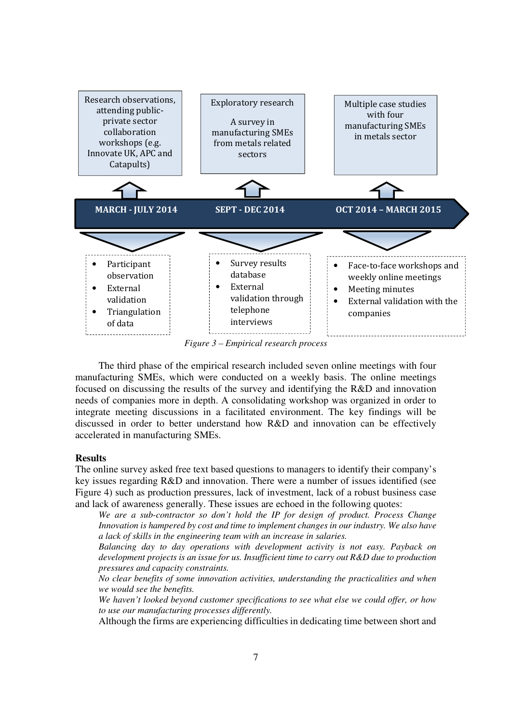

*Figure 3 – Empirical research process* 

 The third phase of the empirical research included seven online meetings with four manufacturing SMEs, which were conducted on a weekly basis. The online meetings focused on discussing the results of the survey and identifying the R&D and innovation needs of companies more in depth. A consolidating workshop was organized in order to integrate meeting discussions in a facilitated environment. The key findings will be discussed in order to better understand how R&D and innovation can be effectively accelerated in manufacturing SMEs.

# **Results**

The online survey asked free text based questions to managers to identify their company's key issues regarding R&D and innovation. There were a number of issues identified (see Figure 4) such as production pressures, lack of investment, lack of a robust business case and lack of awareness generally. These issues are echoed in the following quotes:

*We are a sub-contractor so don't hold the IP for design of product. Process Change Innovation is hampered by cost and time to implement changes in our industry. We also have a lack of skills in the engineering team with an increase in salaries.* 

*Balancing day to day operations with development activity is not easy. Payback on development projects is an issue for us. Insufficient time to carry out R&D due to production pressures and capacity constraints.* 

*No clear benefits of some innovation activities, understanding the practicalities and when we would see the benefits.* 

*We haven't looked beyond customer specifications to see what else we could offer, or how to use our manufacturing processes differently.* 

Although the firms are experiencing difficulties in dedicating time between short and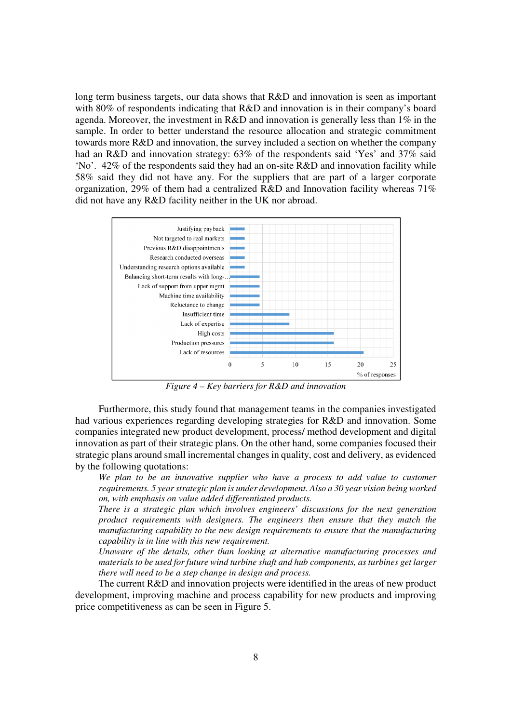long term business targets, our data shows that R&D and innovation is seen as important with 80% of respondents indicating that R&D and innovation is in their company's board agenda. Moreover, the investment in  $R&D$  and innovation is generally less than  $1\%$  in the sample. In order to better understand the resource allocation and strategic commitment towards more R&D and innovation, the survey included a section on whether the company had an R&D and innovation strategy: 63% of the respondents said 'Yes' and 37% said 'No'. 42% of the respondents said they had an on-site R&D and innovation facility while 58% said they did not have any. For the suppliers that are part of a larger corporate organization, 29% of them had a centralized R&D and Innovation facility whereas 71% did not have any R&D facility neither in the UK nor abroad.



*Figure 4 – Key barriers for R&D and innovation*

 Furthermore, this study found that management teams in the companies investigated had various experiences regarding developing strategies for R&D and innovation. Some companies integrated new product development, process/ method development and digital innovation as part of their strategic plans. On the other hand, some companies focused their strategic plans around small incremental changes in quality, cost and delivery, as evidenced by the following quotations:

*We plan to be an innovative supplier who have a process to add value to customer requirements. 5 year strategic plan is under development. Also a 30 year vision being worked on, with emphasis on value added differentiated products.* 

*There is a strategic plan which involves engineers' discussions for the next generation product requirements with designers. The engineers then ensure that they match the manufacturing capability to the new design requirements to ensure that the manufacturing capability is in line with this new requirement.* 

*Unaware of the details, other than looking at alternative manufacturing processes and materials to be used for future wind turbine shaft and hub components, as turbines get larger there will need to be a step change in design and process.* 

 The current R&D and innovation projects were identified in the areas of new product development, improving machine and process capability for new products and improving price competitiveness as can be seen in Figure 5.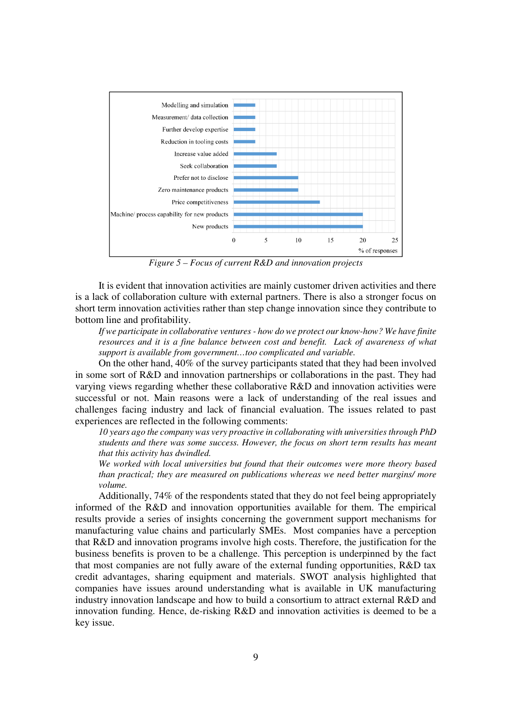

*Figure 5 – Focus of current R&D and innovation projects*

 It is evident that innovation activities are mainly customer driven activities and there is a lack of collaboration culture with external partners. There is also a stronger focus on short term innovation activities rather than step change innovation since they contribute to bottom line and profitability.

*If we participate in collaborative ventures - how do we protect our know-how? We have finite resources and it is a fine balance between cost and benefit. Lack of awareness of what support is available from government…too complicated and variable.* 

 On the other hand, 40% of the survey participants stated that they had been involved in some sort of R&D and innovation partnerships or collaborations in the past. They had varying views regarding whether these collaborative R&D and innovation activities were successful or not. Main reasons were a lack of understanding of the real issues and challenges facing industry and lack of financial evaluation. The issues related to past experiences are reflected in the following comments:

*10 years ago the company was very proactive in collaborating with universities through PhD students and there was some success. However, the focus on short term results has meant that this activity has dwindled.* 

*We worked with local universities but found that their outcomes were more theory based than practical; they are measured on publications whereas we need better margins/ more volume.* 

 Additionally, 74% of the respondents stated that they do not feel being appropriately informed of the R&D and innovation opportunities available for them. The empirical results provide a series of insights concerning the government support mechanisms for manufacturing value chains and particularly SMEs. Most companies have a perception that R&D and innovation programs involve high costs. Therefore, the justification for the business benefits is proven to be a challenge. This perception is underpinned by the fact that most companies are not fully aware of the external funding opportunities, R&D tax credit advantages, sharing equipment and materials. SWOT analysis highlighted that companies have issues around understanding what is available in UK manufacturing industry innovation landscape and how to build a consortium to attract external R&D and innovation funding. Hence, de-risking R&D and innovation activities is deemed to be a key issue.